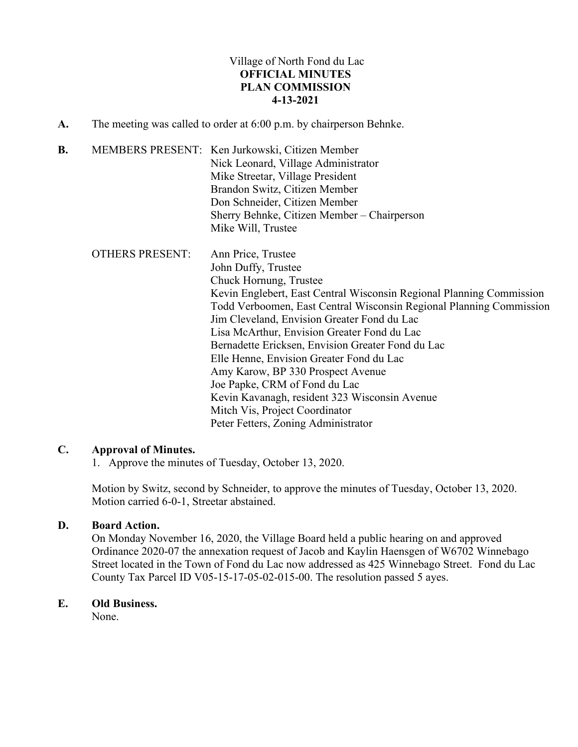# Village of North Fond du Lac **OFFICIAL MINUTES PLAN COMMISSION 4-13-2021**

**A.** The meeting was called to order at 6:00 p.m. by chairperson Behnke.

| B. |                        | MEMBERS PRESENT: Ken Jurkowski, Citizen Member<br>Nick Leonard, Village Administrator<br>Mike Streetar, Village President<br>Brandon Switz, Citizen Member<br>Don Schneider, Citizen Member                                                                                                                                                                                                                                                                                                                                                                                                                       |  |
|----|------------------------|-------------------------------------------------------------------------------------------------------------------------------------------------------------------------------------------------------------------------------------------------------------------------------------------------------------------------------------------------------------------------------------------------------------------------------------------------------------------------------------------------------------------------------------------------------------------------------------------------------------------|--|
|    |                        | Sherry Behnke, Citizen Member – Chairperson<br>Mike Will, Trustee                                                                                                                                                                                                                                                                                                                                                                                                                                                                                                                                                 |  |
|    | <b>OTHERS PRESENT:</b> | Ann Price, Trustee<br>John Duffy, Trustee<br>Chuck Hornung, Trustee<br>Kevin Englebert, East Central Wisconsin Regional Planning Commission<br>Todd Verboomen, East Central Wisconsin Regional Planning Commission<br>Jim Cleveland, Envision Greater Fond du Lac<br>Lisa McArthur, Envision Greater Fond du Lac<br>Bernadette Ericksen, Envision Greater Fond du Lac<br>Elle Henne, Envision Greater Fond du Lac<br>Amy Karow, BP 330 Prospect Avenue<br>Joe Papke, CRM of Fond du Lac<br>Kevin Kavanagh, resident 323 Wisconsin Avenue<br>Mitch Vis, Project Coordinator<br>Peter Fetters, Zoning Administrator |  |

## **C. Approval of Minutes.**

1. Approve the minutes of Tuesday, October 13, 2020.

Motion by Switz, second by Schneider, to approve the minutes of Tuesday, October 13, 2020. Motion carried 6-0-1, Streetar abstained.

## **D. Board Action.**

On Monday November 16, 2020, the Village Board held a public hearing on and approved Ordinance 2020-07 the annexation request of Jacob and Kaylin Haensgen of W6702 Winnebago Street located in the Town of Fond du Lac now addressed as 425 Winnebago Street. Fond du Lac County Tax Parcel ID V05-15-17-05-02-015-00. The resolution passed 5 ayes.

# **E. Old Business.**

None.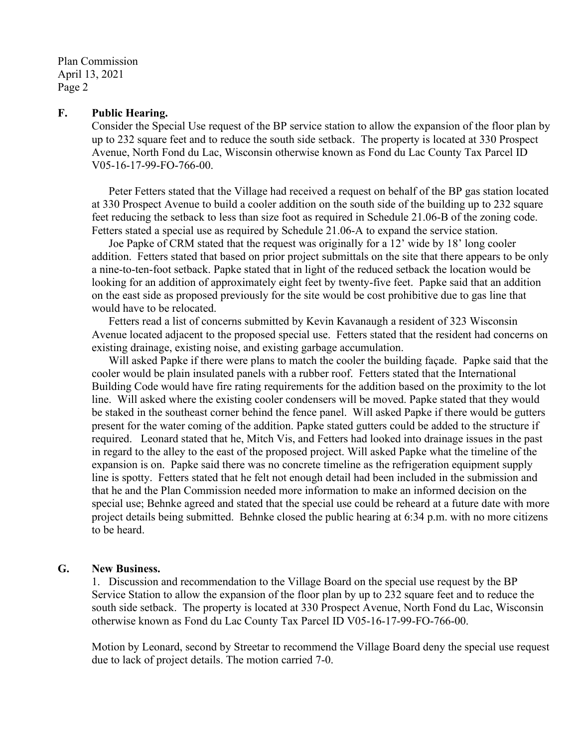Plan Commission April 13, 2021 Page 2

#### **F. Public Hearing.**

Consider the Special Use request of the BP service station to allow the expansion of the floor plan by up to 232 square feet and to reduce the south side setback. The property is located at 330 Prospect Avenue, North Fond du Lac, Wisconsin otherwise known as Fond du Lac County Tax Parcel ID V05-16-17-99-FO-766-00.

Peter Fetters stated that the Village had received a request on behalf of the BP gas station located at 330 Prospect Avenue to build a cooler addition on the south side of the building up to 232 square feet reducing the setback to less than size foot as required in Schedule 21.06-B of the zoning code. Fetters stated a special use as required by Schedule 21.06-A to expand the service station.

Joe Papke of CRM stated that the request was originally for a 12' wide by 18' long cooler addition. Fetters stated that based on prior project submittals on the site that there appears to be only a nine-to-ten-foot setback. Papke stated that in light of the reduced setback the location would be looking for an addition of approximately eight feet by twenty-five feet. Papke said that an addition on the east side as proposed previously for the site would be cost prohibitive due to gas line that would have to be relocated.

Fetters read a list of concerns submitted by Kevin Kavanaugh a resident of 323 Wisconsin Avenue located adjacent to the proposed special use. Fetters stated that the resident had concerns on existing drainage, existing noise, and existing garbage accumulation.

Will asked Papke if there were plans to match the cooler the building façade. Papke said that the cooler would be plain insulated panels with a rubber roof. Fetters stated that the International Building Code would have fire rating requirements for the addition based on the proximity to the lot line. Will asked where the existing cooler condensers will be moved. Papke stated that they would be staked in the southeast corner behind the fence panel. Will asked Papke if there would be gutters present for the water coming of the addition. Papke stated gutters could be added to the structure if required. Leonard stated that he, Mitch Vis, and Fetters had looked into drainage issues in the past in regard to the alley to the east of the proposed project. Will asked Papke what the timeline of the expansion is on. Papke said there was no concrete timeline as the refrigeration equipment supply line is spotty. Fetters stated that he felt not enough detail had been included in the submission and that he and the Plan Commission needed more information to make an informed decision on the special use; Behnke agreed and stated that the special use could be reheard at a future date with more project details being submitted. Behnke closed the public hearing at 6:34 p.m. with no more citizens to be heard.

#### **G. New Business.**

1. Discussion and recommendation to the Village Board on the special use request by the BP Service Station to allow the expansion of the floor plan by up to 232 square feet and to reduce the south side setback. The property is located at 330 Prospect Avenue, North Fond du Lac, Wisconsin otherwise known as Fond du Lac County Tax Parcel ID V05-16-17-99-FO-766-00.

Motion by Leonard, second by Streetar to recommend the Village Board deny the special use request due to lack of project details. The motion carried 7-0.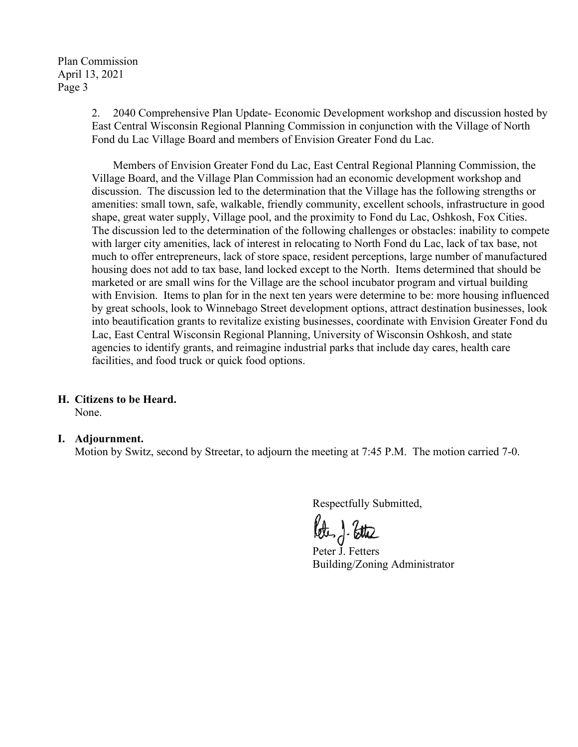Plan Commission April 13, 2021 Page 3

> 2. 2040 Comprehensive Plan Update- Economic Development workshop and discussion hosted by East Central Wisconsin Regional Planning Commission in conjunction with the Village of North Fond du Lac Village Board and members of Envision Greater Fond du Lac.

> Members of Envision Greater Fond du Lac, East Central Regional Planning Commission, the Village Board, and the Village Plan Commission had an economic development workshop and discussion. The discussion led to the determination that the Village has the following strengths or amenities: small town, safe, walkable, friendly community, excellent schools, infrastructure in good shape, great water supply, Village pool, and the proximity to Fond du Lac, Oshkosh, Fox Cities. The discussion led to the determination of the following challenges or obstacles: inability to compete with larger city amenities, lack of interest in relocating to North Fond du Lac, lack of tax base, not much to offer entrepreneurs, lack of store space, resident perceptions, large number of manufactured housing does not add to tax base, land locked except to the North. Items determined that should be marketed or are small wins for the Village are the school incubator program and virtual building with Envision. Items to plan for in the next ten years were determine to be: more housing influenced by great schools, look to Winnebago Street development options, attract destination businesses, look into beautification grants to revitalize existing businesses, coordinate with Envision Greater Fond du Lac, East Central Wisconsin Regional Planning, University of Wisconsin Oshkosh, and state agencies to identify grants, and reimagine industrial parks that include day cares, health care facilities, and food truck or quick food options.

## **H. Citizens to be Heard.**

None.

## **I. Adjournment.**

Motion by Switz, second by Streetar, to adjourn the meeting at 7:45 P.M. The motion carried 7-0.

Peter J. Ette

Building/Zoning Administrator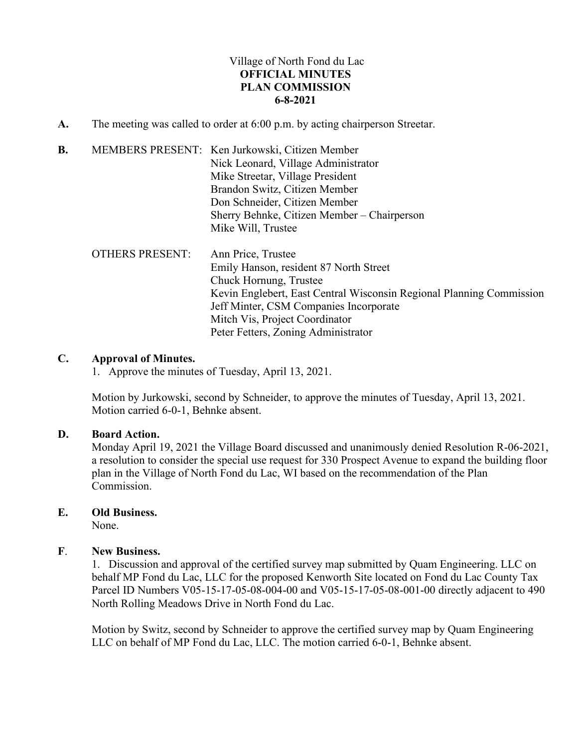# Village of North Fond du Lac **OFFICIAL MINUTES PLAN COMMISSION 6-8-2021**

- **A.** The meeting was called to order at 6:00 p.m. by acting chairperson Streetar.
- **B.** MEMBERS PRESENT: Ken Jurkowski, Citizen Member Nick Leonard, Village Administrator Mike Streetar, Village President Brandon Switz, Citizen Member Don Schneider, Citizen Member Sherry Behnke, Citizen Member – Chairperson Mike Will, Trustee OTHERS PRESENT: Ann Price, Trustee Emily Hanson, resident 87 North Street Chuck Hornung, Trustee Kevin Englebert, East Central Wisconsin Regional Planning Commission Jeff Minter, CSM Companies Incorporate Mitch Vis, Project Coordinator Peter Fetters, Zoning Administrator

## **C. Approval of Minutes.**

1. Approve the minutes of Tuesday, April 13, 2021.

Motion by Jurkowski, second by Schneider, to approve the minutes of Tuesday, April 13, 2021. Motion carried 6-0-1, Behnke absent.

## **D. Board Action.**

Monday April 19, 2021 the Village Board discussed and unanimously denied Resolution R-06-2021, a resolution to consider the special use request for 330 Prospect Avenue to expand the building floor plan in the Village of North Fond du Lac, WI based on the recommendation of the Plan Commission.

## **E. Old Business.**

None.

## **F**. **New Business.**

1. Discussion and approval of the certified survey map submitted by Quam Engineering. LLC on behalf MP Fond du Lac, LLC for the proposed Kenworth Site located on Fond du Lac County Tax Parcel ID Numbers V05-15-17-05-08-004-00 and V05-15-17-05-08-001-00 directly adjacent to 490 North Rolling Meadows Drive in North Fond du Lac.

Motion by Switz, second by Schneider to approve the certified survey map by Quam Engineering LLC on behalf of MP Fond du Lac, LLC. The motion carried 6-0-1, Behnke absent.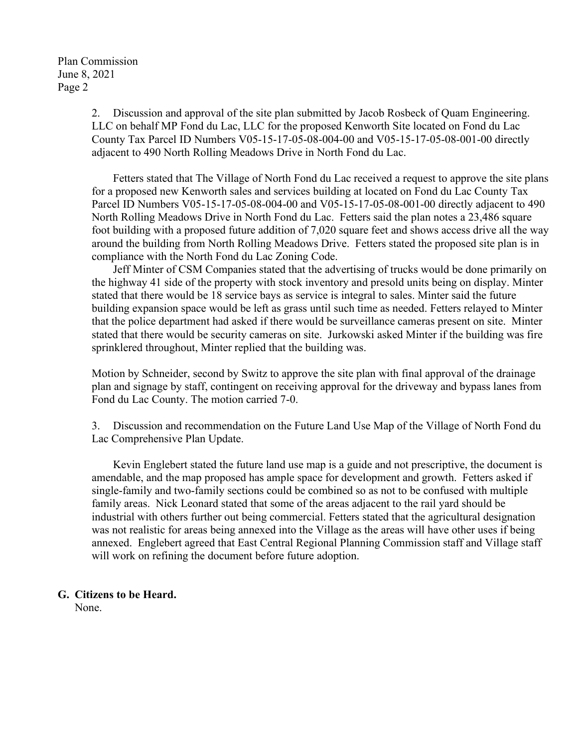2. Discussion and approval of the site plan submitted by Jacob Rosbeck of Quam Engineering. LLC on behalf MP Fond du Lac, LLC for the proposed Kenworth Site located on Fond du Lac County Tax Parcel ID Numbers V05-15-17-05-08-004-00 and V05-15-17-05-08-001-00 directly adjacent to 490 North Rolling Meadows Drive in North Fond du Lac.

Fetters stated that The Village of North Fond du Lac received a request to approve the site plans for a proposed new Kenworth sales and services building at located on Fond du Lac County Tax Parcel ID Numbers V05-15-17-05-08-004-00 and V05-15-17-05-08-001-00 directly adjacent to 490 North Rolling Meadows Drive in North Fond du Lac. Fetters said the plan notes a 23,486 square foot building with a proposed future addition of 7,020 square feet and shows access drive all the way around the building from North Rolling Meadows Drive. Fetters stated the proposed site plan is in compliance with the North Fond du Lac Zoning Code.

Jeff Minter of CSM Companies stated that the advertising of trucks would be done primarily on the highway 41 side of the property with stock inventory and presold units being on display. Minter stated that there would be 18 service bays as service is integral to sales. Minter said the future building expansion space would be left as grass until such time as needed. Fetters relayed to Minter that the police department had asked if there would be surveillance cameras present on site. Minter stated that there would be security cameras on site. Jurkowski asked Minter if the building was fire sprinklered throughout, Minter replied that the building was.

Motion by Schneider, second by Switz to approve the site plan with final approval of the drainage plan and signage by staff, contingent on receiving approval for the driveway and bypass lanes from Fond du Lac County. The motion carried 7-0.

3. Discussion and recommendation on the Future Land Use Map of the Village of North Fond du Lac Comprehensive Plan Update.

Kevin Englebert stated the future land use map is a guide and not prescriptive, the document is amendable, and the map proposed has ample space for development and growth. Fetters asked if single-family and two-family sections could be combined so as not to be confused with multiple family areas. Nick Leonard stated that some of the areas adjacent to the rail yard should be industrial with others further out being commercial. Fetters stated that the agricultural designation was not realistic for areas being annexed into the Village as the areas will have other uses if being annexed. Englebert agreed that East Central Regional Planning Commission staff and Village staff will work on refining the document before future adoption.

# **G. Citizens to be Heard.**

None.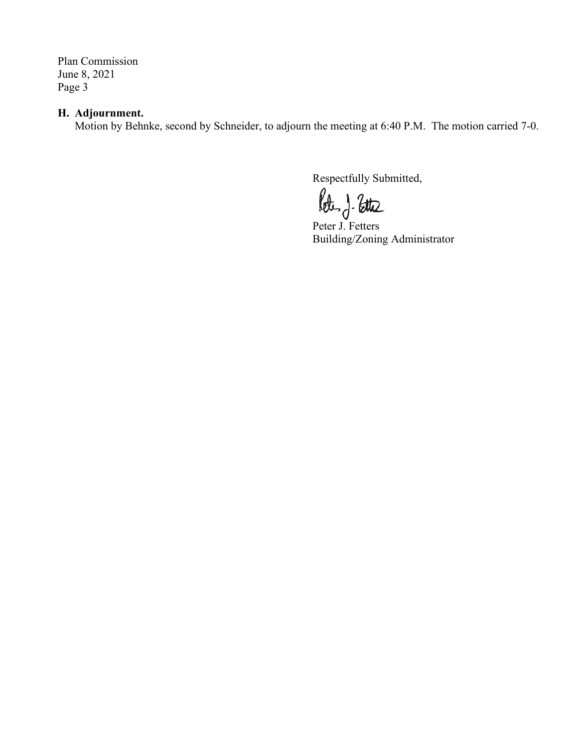Plan Commission June 8, 2021 Page 3

# **H. Adjournment.**

Motion by Behnke, second by Schneider, to adjourn the meeting at 6:40 P.M. The motion carried 7-0.

Peter J. Fetters

Building/Zoning Administrator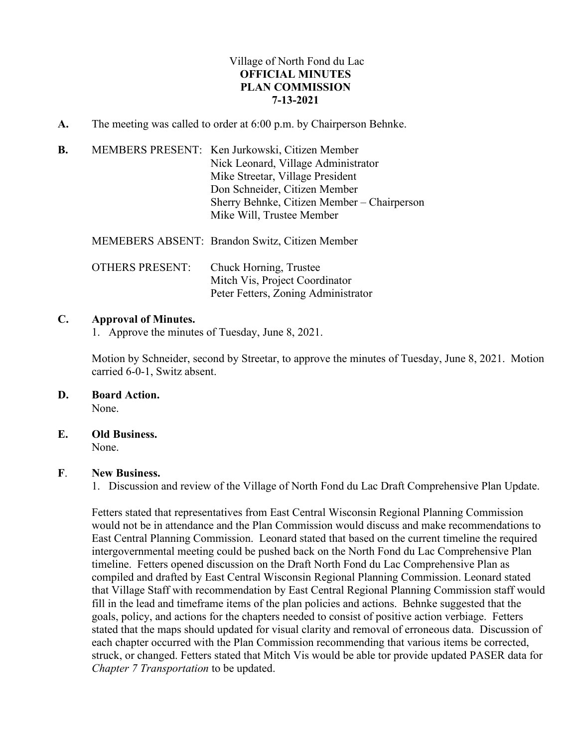# Village of North Fond du Lac **OFFICIAL MINUTES PLAN COMMISSION 7-13-2021**

**A.** The meeting was called to order at 6:00 p.m. by Chairperson Behnke.

| В. | MEMBERS PRESENT: Ken Jurkowski, Citizen Member |
|----|------------------------------------------------|
|    | Nick Leonard, Village Administrator            |
|    | Mike Streetar, Village President               |
|    | Don Schneider, Citizen Member                  |
|    | Sherry Behnke, Citizen Member - Chairperson    |
|    | Mike Will, Trustee Member                      |
|    |                                                |

MEMEBERS ABSENT: Brandon Switz, Citizen Member

| <b>OTHERS PRESENT:</b> | Chuck Horning, Trustee              |
|------------------------|-------------------------------------|
|                        | Mitch Vis, Project Coordinator      |
|                        | Peter Fetters, Zoning Administrator |

## **C. Approval of Minutes.**

1. Approve the minutes of Tuesday, June 8, 2021.

Motion by Schneider, second by Streetar, to approve the minutes of Tuesday, June 8, 2021. Motion carried 6-0-1, Switz absent.

- **D. Board Action.**  None.
- **E. Old Business.**

None.

## **F**. **New Business.**

1. Discussion and review of the Village of North Fond du Lac Draft Comprehensive Plan Update.

Fetters stated that representatives from East Central Wisconsin Regional Planning Commission would not be in attendance and the Plan Commission would discuss and make recommendations to East Central Planning Commission. Leonard stated that based on the current timeline the required intergovernmental meeting could be pushed back on the North Fond du Lac Comprehensive Plan timeline. Fetters opened discussion on the Draft North Fond du Lac Comprehensive Plan as compiled and drafted by East Central Wisconsin Regional Planning Commission. Leonard stated that Village Staff with recommendation by East Central Regional Planning Commission staff would fill in the lead and timeframe items of the plan policies and actions. Behnke suggested that the goals, policy, and actions for the chapters needed to consist of positive action verbiage. Fetters stated that the maps should updated for visual clarity and removal of erroneous data. Discussion of each chapter occurred with the Plan Commission recommending that various items be corrected, struck, or changed. Fetters stated that Mitch Vis would be able tor provide updated PASER data for *Chapter 7 Transportation* to be updated.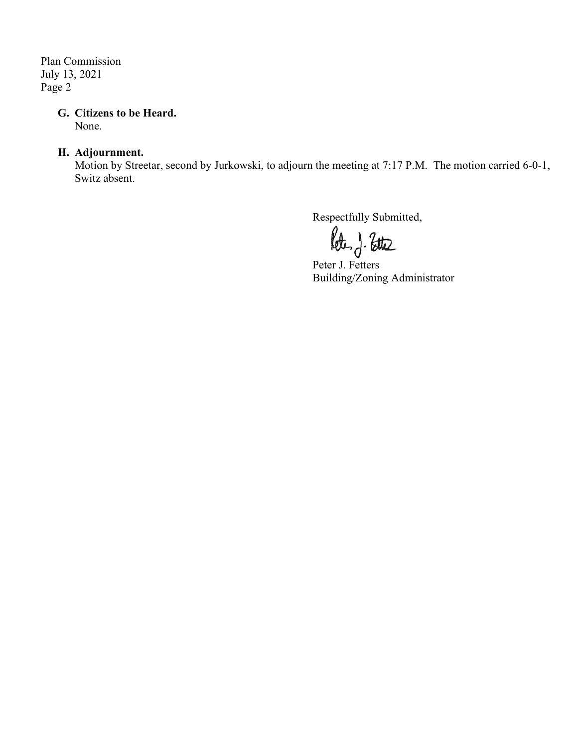Plan Commission July 13, 2021 Page 2

## **G. Citizens to be Heard.**

None.

# **H. Adjournment.**

Motion by Streetar, second by Jurkowski, to adjourn the meeting at 7:17 P.M. The motion carried 6-0-1, Switz absent.

Respectfully Submitted,

Peter J. Fetters Building/Zoning Administrator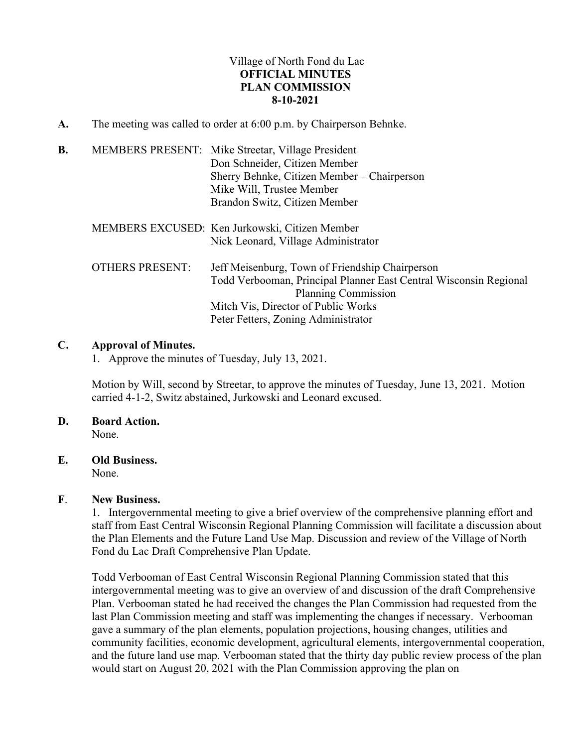# Village of North Fond du Lac **OFFICIAL MINUTES PLAN COMMISSION 8-10-2021**

**A.** The meeting was called to order at 6:00 p.m. by Chairperson Behnke.

| B. |                        | MEMBERS PRESENT: Mike Streetar, Village President<br>Don Schneider, Citizen Member<br>Sherry Behnke, Citizen Member - Chairperson<br>Mike Will, Trustee Member<br>Brandon Switz, Citizen Member                           |
|----|------------------------|---------------------------------------------------------------------------------------------------------------------------------------------------------------------------------------------------------------------------|
|    |                        | MEMBERS EXCUSED: Ken Jurkowski, Citizen Member<br>Nick Leonard, Village Administrator                                                                                                                                     |
|    | <b>OTHERS PRESENT:</b> | Jeff Meisenburg, Town of Friendship Chairperson<br>Todd Verbooman, Principal Planner East Central Wisconsin Regional<br>Planning Commission<br>Mitch Vis, Director of Public Works<br>Peter Fetters, Zoning Administrator |

## **C. Approval of Minutes.**

1. Approve the minutes of Tuesday, July 13, 2021.

Motion by Will, second by Streetar, to approve the minutes of Tuesday, June 13, 2021. Motion carried 4-1-2, Switz abstained, Jurkowski and Leonard excused.

# **D. Board Action.**

None.

## **E. Old Business.**

None.

## **F**. **New Business.**

1. Intergovernmental meeting to give a brief overview of the comprehensive planning effort and staff from East Central Wisconsin Regional Planning Commission will facilitate a discussion about the Plan Elements and the Future Land Use Map. Discussion and review of the Village of North Fond du Lac Draft Comprehensive Plan Update.

Todd Verbooman of East Central Wisconsin Regional Planning Commission stated that this intergovernmental meeting was to give an overview of and discussion of the draft Comprehensive Plan. Verbooman stated he had received the changes the Plan Commission had requested from the last Plan Commission meeting and staff was implementing the changes if necessary. Verbooman gave a summary of the plan elements, population projections, housing changes, utilities and community facilities, economic development, agricultural elements, intergovernmental cooperation, and the future land use map. Verbooman stated that the thirty day public review process of the plan would start on August 20, 2021 with the Plan Commission approving the plan on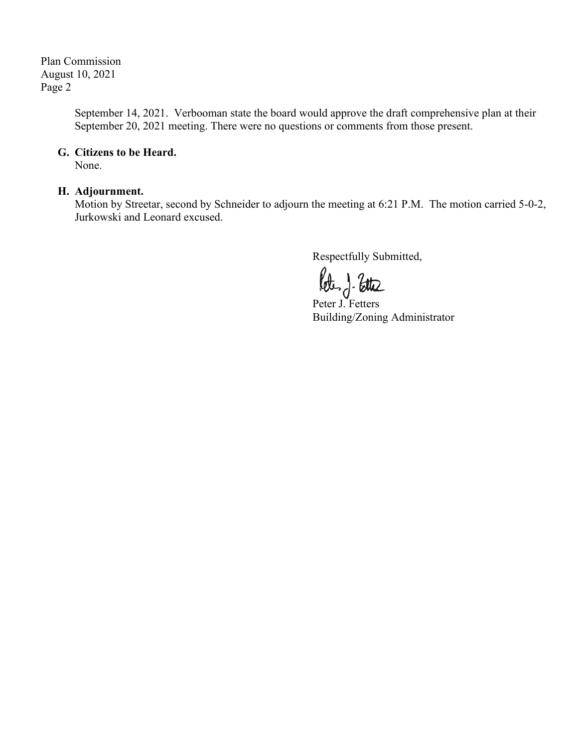Plan Commission August 10, 2021 Page 2

> September 14, 2021. Verbooman state the board would approve the draft comprehensive plan at their September 20, 2021 meeting. There were no questions or comments from those present.

## **G. Citizens to be Heard.**

None.

# **H. Adjournment.**

Motion by Streetar, second by Schneider to adjourn the meeting at 6:21 P.M. The motion carried 5-0-2, Jurkowski and Leonard excused.

Peter J. Fetters

Building/Zoning Administrator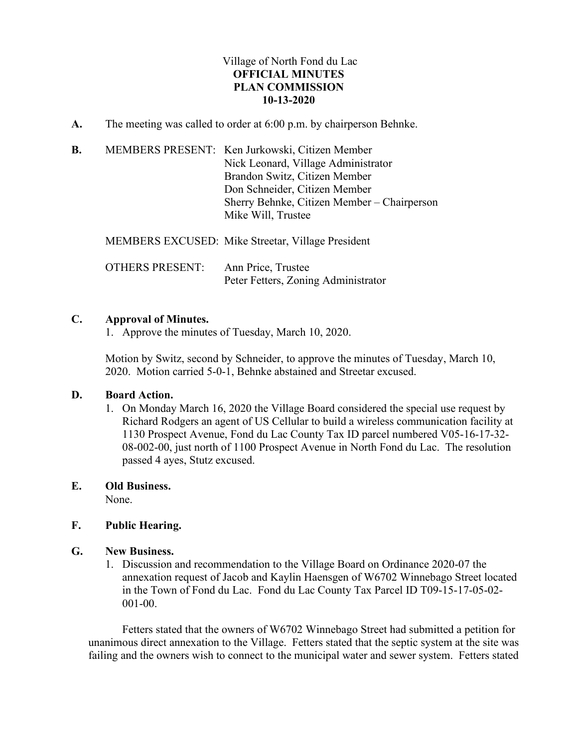# Village of North Fond du Lac **OFFICIAL MINUTES PLAN COMMISSION 10-13-2020**

- **A.** The meeting was called to order at 6:00 p.m. by chairperson Behnke.
- **B.** MEMBERS PRESENT: Ken Jurkowski, Citizen Member Nick Leonard, Village Administrator Brandon Switz, Citizen Member Don Schneider, Citizen Member Sherry Behnke, Citizen Member – Chairperson Mike Will, Trustee

MEMBERS EXCUSED: Mike Streetar, Village President

OTHERS PRESENT: Ann Price, Trustee Peter Fetters, Zoning Administrator

## **C. Approval of Minutes.**

1. Approve the minutes of Tuesday, March 10, 2020.

Motion by Switz, second by Schneider, to approve the minutes of Tuesday, March 10, 2020. Motion carried 5-0-1, Behnke abstained and Streetar excused.

## **D. Board Action.**

1. On Monday March 16, 2020 the Village Board considered the special use request by Richard Rodgers an agent of US Cellular to build a wireless communication facility at 1130 Prospect Avenue, Fond du Lac County Tax ID parcel numbered V05-16-17-32- 08-002-00, just north of 1100 Prospect Avenue in North Fond du Lac. The resolution passed 4 ayes, Stutz excused.

### **E. Old Business.**

None.

## **F. Public Hearing.**

### **G. New Business.**

1. Discussion and recommendation to the Village Board on Ordinance 2020-07 the annexation request of Jacob and Kaylin Haensgen of W6702 Winnebago Street located in the Town of Fond du Lac. Fond du Lac County Tax Parcel ID T09-15-17-05-02- 001-00.

Fetters stated that the owners of W6702 Winnebago Street had submitted a petition for unanimous direct annexation to the Village. Fetters stated that the septic system at the site was failing and the owners wish to connect to the municipal water and sewer system. Fetters stated